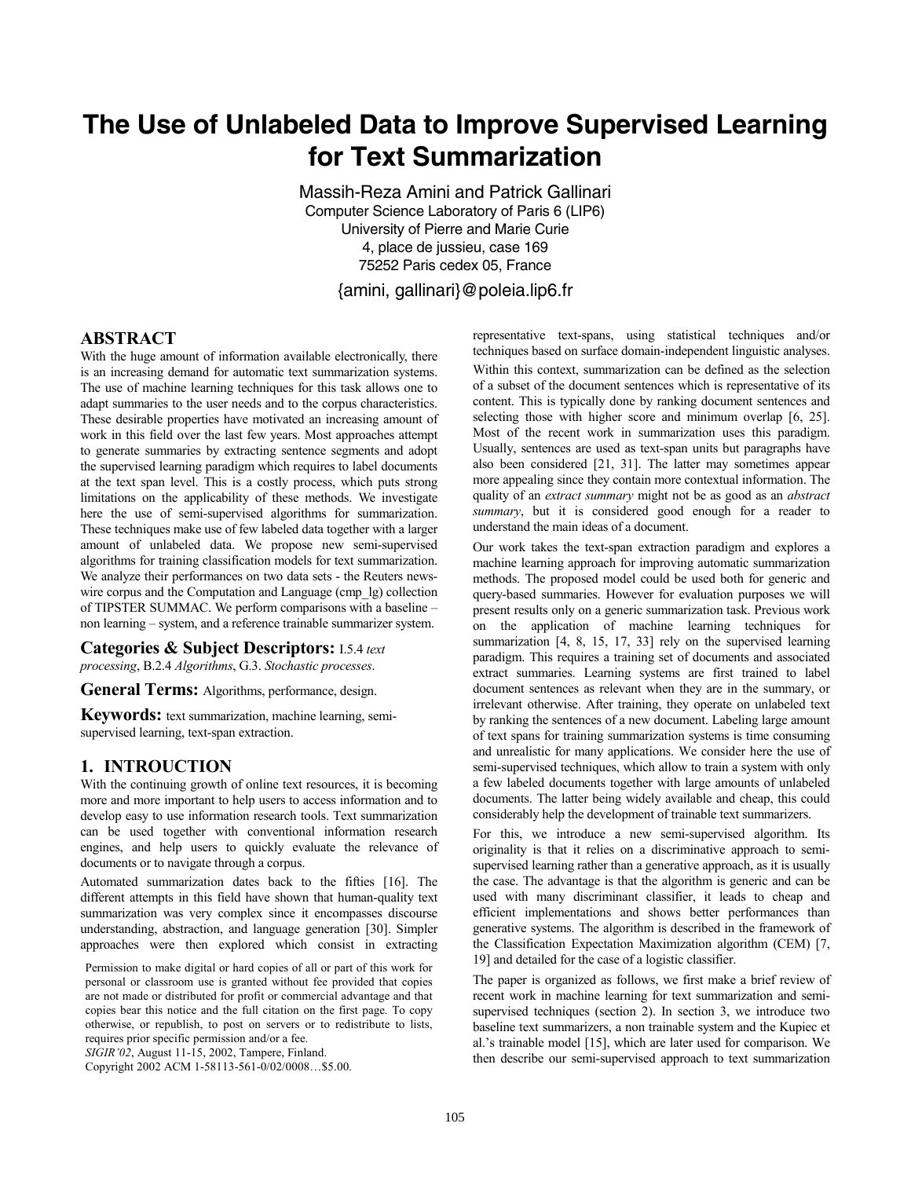# **The Use of Unlabeled Data to Improve Supervised Learning for Text Summarization**

Massih-Reza Amini and Patrick Gallinari Computer Science Laboratory of Paris 6 (LIP6) University of Pierre and Marie Curie 4, place de jussieu, case 169 75252 Paris cedex 05, France

{amini, gallinari}@poleia.lip6.fr

# **ABSTRACT**

With the huge amount of information available electronically, there is an increasing demand for automatic text summarization systems. The use of machine learning techniques for this task allows one to adapt summaries to the user needs and to the corpus characteristics. These desirable properties have motivated an increasing amount of work in this field over the last few years. Most approaches attempt to generate summaries by extracting sentence segments and adopt the supervised learning paradigm which requires to label documents at the text span level. This is a costly process, which puts strong limitations on the applicability of these methods. We investigate here the use of semi-supervised algorithms for summarization. These techniques make use of few labeled data together with a larger amount of unlabeled data. We propose new semi-supervised algorithms for training classification models for text summarization. We analyze their performances on two data sets - the Reuters newswire corpus and the Computation and Language (cmp\_lg) collection of TIPSTER SUMMAC. We perform comparisons with a baseline – non learning – system, and a reference trainable summarizer system.

**Categories & Subject Descriptors:** I.5.4 *text* 

*processing*, B.2.4 *Algorithms*, G.3. *Stochastic processes*.

**General Terms:** Algorithms, performance, design.

**Keywords:** text summarization, machine learning, semisupervised learning, text-span extraction.

## **1. INTROUCTION**

With the continuing growth of online text resources, it is becoming more and more important to help users to access information and to develop easy to use information research tools. Text summarization can be used together with conventional information research engines, and help users to quickly evaluate the relevance of documents or to navigate through a corpus.

Automated summarization dates back to the fifties [16]. The different attempts in this field have shown that human-quality text summarization was very complex since it encompasses discourse understanding, abstraction, and language generation [30]. Simpler approaches were then explored which consist in extracting

Permission to make digital or hard copies of all or part of this work for personal or classroom use is granted without fee provided that copies are not made or distributed for profit or commercial advantage and that copies bear this notice and the full citation on the first page. To copy otherwise, or republish, to post on servers or to redistribute to lists, requires prior specific permission and/or a fee.

*SIGIR'02*, August 11-15, 2002, Tampere, Finland.

Copyright 2002 ACM 1-58113-561-0/02/0008…\$5.00.

representative text-spans, using statistical techniques and/or techniques based on surface domain-independent linguistic analyses. Within this context, summarization can be defined as the selection of a subset of the document sentences which is representative of its content. This is typically done by ranking document sentences and selecting those with higher score and minimum overlap [6, 25]. Most of the recent work in summarization uses this paradigm. Usually, sentences are used as text-span units but paragraphs have also been considered [21, 31]. The latter may sometimes appear more appealing since they contain more contextual information. The quality of an *extract summary* might not be as good as an *abstract summary*, but it is considered good enough for a reader to understand the main ideas of a document.

Our work takes the text-span extraction paradigm and explores a machine learning approach for improving automatic summarization methods. The proposed model could be used both for generic and query-based summaries. However for evaluation purposes we will present results only on a generic summarization task. Previous work on the application of machine learning techniques for summarization [4, 8, 15, 17, 33] rely on the supervised learning paradigm. This requires a training set of documents and associated extract summaries. Learning systems are first trained to label document sentences as relevant when they are in the summary, or irrelevant otherwise. After training, they operate on unlabeled text by ranking the sentences of a new document. Labeling large amount of text spans for training summarization systems is time consuming and unrealistic for many applications. We consider here the use of semi-supervised techniques, which allow to train a system with only a few labeled documents together with large amounts of unlabeled documents. The latter being widely available and cheap, this could considerably help the development of trainable text summarizers.

For this, we introduce a new semi-supervised algorithm. Its originality is that it relies on a discriminative approach to semisupervised learning rather than a generative approach, as it is usually the case. The advantage is that the algorithm is generic and can be used with many discriminant classifier, it leads to cheap and efficient implementations and shows better performances than generative systems. The algorithm is described in the framework of the Classification Expectation Maximization algorithm (CEM) [7, 19] and detailed for the case of a logistic classifier.

The paper is organized as follows, we first make a brief review of recent work in machine learning for text summarization and semisupervised techniques (section 2). In section 3, we introduce two baseline text summarizers, a non trainable system and the Kupiec et al.'s trainable model [15], which are later used for comparison. We then describe our semi-supervised approach to text summarization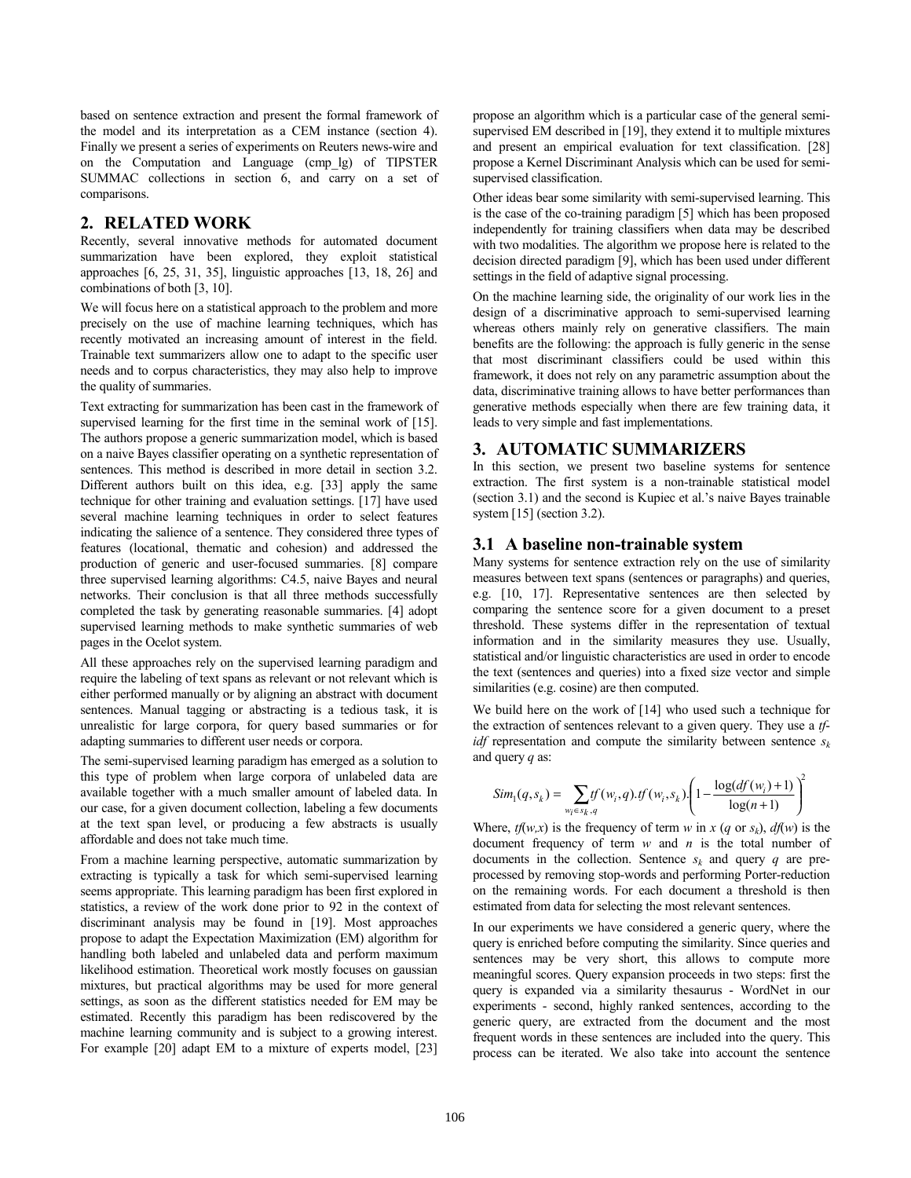based on sentence extraction and present the formal framework of the model and its interpretation as a CEM instance (section 4). Finally we present a series of experiments on Reuters news-wire and on the Computation and Language (cmp\_lg) of TIPSTER SUMMAC collections in section 6, and carry on a set of comparisons.

## **2. RELATED WORK**

Recently, several innovative methods for automated document summarization have been explored, they exploit statistical approaches [6, 25, 31, 35], linguistic approaches [13, 18, 26] and combinations of both [3, 10].

We will focus here on a statistical approach to the problem and more precisely on the use of machine learning techniques, which has recently motivated an increasing amount of interest in the field. Trainable text summarizers allow one to adapt to the specific user needs and to corpus characteristics, they may also help to improve the quality of summaries.

Text extracting for summarization has been cast in the framework of supervised learning for the first time in the seminal work of [15]. The authors propose a generic summarization model, which is based on a naive Bayes classifier operating on a synthetic representation of sentences. This method is described in more detail in section 3.2. Different authors built on this idea, e.g. [33] apply the same technique for other training and evaluation settings. [17] have used several machine learning techniques in order to select features indicating the salience of a sentence. They considered three types of features (locational, thematic and cohesion) and addressed the production of generic and user-focused summaries. [8] compare three supervised learning algorithms: C4.5, naive Bayes and neural networks. Their conclusion is that all three methods successfully completed the task by generating reasonable summaries. [4] adopt supervised learning methods to make synthetic summaries of web pages in the Ocelot system.

All these approaches rely on the supervised learning paradigm and require the labeling of text spans as relevant or not relevant which is either performed manually or by aligning an abstract with document sentences. Manual tagging or abstracting is a tedious task, it is unrealistic for large corpora, for query based summaries or for adapting summaries to different user needs or corpora.

The semi-supervised learning paradigm has emerged as a solution to this type of problem when large corpora of unlabeled data are available together with a much smaller amount of labeled data. In our case, for a given document collection, labeling a few documents at the text span level, or producing a few abstracts is usually affordable and does not take much time.

From a machine learning perspective, automatic summarization by extracting is typically a task for which semi-supervised learning seems appropriate. This learning paradigm has been first explored in statistics, a review of the work done prior to 92 in the context of discriminant analysis may be found in [19]. Most approaches propose to adapt the Expectation Maximization (EM) algorithm for handling both labeled and unlabeled data and perform maximum likelihood estimation. Theoretical work mostly focuses on gaussian mixtures, but practical algorithms may be used for more general settings, as soon as the different statistics needed for EM may be estimated. Recently this paradigm has been rediscovered by the machine learning community and is subject to a growing interest. For example [20] adapt EM to a mixture of experts model, [23]

propose an algorithm which is a particular case of the general semisupervised EM described in [19], they extend it to multiple mixtures and present an empirical evaluation for text classification. [28] propose a Kernel Discriminant Analysis which can be used for semisupervised classification.

Other ideas bear some similarity with semi-supervised learning. This is the case of the co-training paradigm [5] which has been proposed independently for training classifiers when data may be described with two modalities. The algorithm we propose here is related to the decision directed paradigm [9], which has been used under different settings in the field of adaptive signal processing.

On the machine learning side, the originality of our work lies in the design of a discriminative approach to semi-supervised learning whereas others mainly rely on generative classifiers. The main benefits are the following: the approach is fully generic in the sense that most discriminant classifiers could be used within this framework, it does not rely on any parametric assumption about the data, discriminative training allows to have better performances than generative methods especially when there are few training data, it leads to very simple and fast implementations.

# **3. AUTOMATIC SUMMARIZERS**

In this section, we present two baseline systems for sentence extraction. The first system is a non-trainable statistical model (section 3.1) and the second is Kupiec et al.'s naive Bayes trainable system [15] (section 3.2).

# **3.1 A baseline non-trainable system**

Many systems for sentence extraction rely on the use of similarity measures between text spans (sentences or paragraphs) and queries, e.g. [10, 17]. Representative sentences are then selected by comparing the sentence score for a given document to a preset threshold. These systems differ in the representation of textual information and in the similarity measures they use. Usually, statistical and/or linguistic characteristics are used in order to encode the text (sentences and queries) into a fixed size vector and simple similarities (e.g. cosine) are then computed.

We build here on the work of [14] who used such a technique for the extraction of sentences relevant to a given query. They use a *tfidf* representation and compute the similarity between sentence  $s_k$ and query *q* as:

$$
Sim_1(q, s_k) = \sum_{w_i \in s_k, q} tf(w_i, q).tf(w_i, s_k) \left(1 - \frac{\log(df(w_i) + 1)}{\log(n+1)}\right)^2
$$

Where,  $tf(w,x)$  is the frequency of term  $w$  in  $x$  ( $q$  or  $s_k$ ),  $df(w)$  is the document frequency of term *w* and *n* is the total number of documents in the collection. Sentence  $s_k$  and query *q* are preprocessed by removing stop-words and performing Porter-reduction on the remaining words. For each document a threshold is then estimated from data for selecting the most relevant sentences.

In our experiments we have considered a generic query, where the query is enriched before computing the similarity. Since queries and sentences may be very short, this allows to compute more meaningful scores. Query expansion proceeds in two steps: first the query is expanded via a similarity thesaurus - WordNet in our experiments - second, highly ranked sentences, according to the generic query, are extracted from the document and the most frequent words in these sentences are included into the query. This process can be iterated. We also take into account the sentence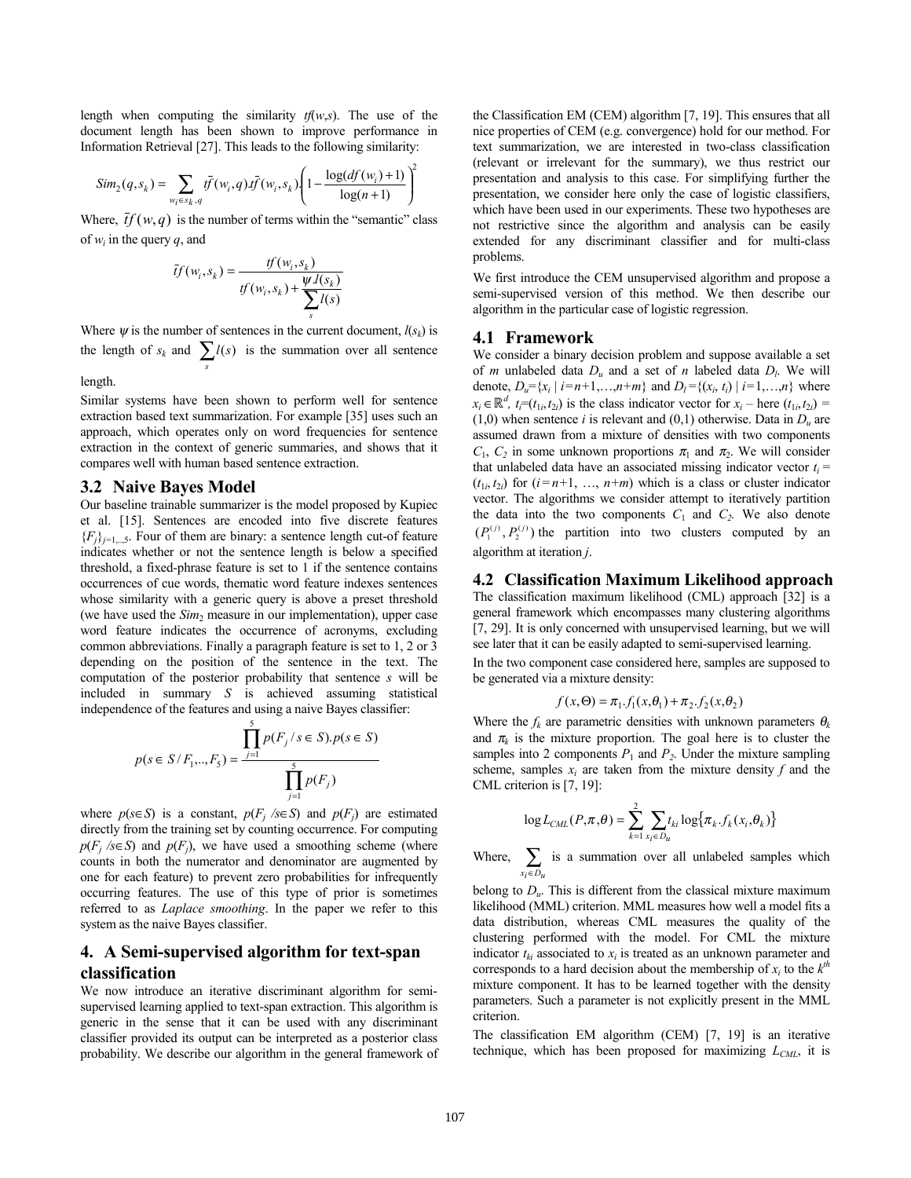length when computing the similarity  $tf(w,s)$ . The use of the document length has been shown to improve performance in Information Retrieval [27]. This leads to the following similarity:

$$
Sim_2(q, s_k) = \sum_{w_i \in s_k, q} t \bar{f}(w_i, q) t \bar{f}(w_i, s_k) \left(1 - \frac{\log(df(w_i) + 1)}{\log(n+1)}\right)^2
$$

Where,  $\bar{t}f(w, q)$  is the number of terms within the "semantic" class of  $w_i$  in the query  $q$ , and

$$
\bar{t}f(w_i, s_k) = \frac{tf(w_i, s_k)}{tf(w_i, s_k) + \frac{\psi \cdot l(s_k)}{\sum_{s}l(s)}}
$$

Where  $\psi$  is the number of sentences in the current document,  $l(s_k)$  is the length of  $s_k$  and  $\sum_{s} l(s)$  is the summation over all sentence

length.

Similar systems have been shown to perform well for sentence extraction based text summarization. For example [35] uses such an approach, which operates only on word frequencies for sentence extraction in the context of generic summaries, and shows that it compares well with human based sentence extraction.

#### **3.2 Naive Bayes Model**

Our baseline trainable summarizer is the model proposed by Kupiec et al. [15]. Sentences are encoded into five discrete features  ${F_j}_{j=1,..,5}$ . Four of them are binary: a sentence length cut-of feature indicates whether or not the sentence length is below a specified threshold, a fixed-phrase feature is set to 1 if the sentence contains occurrences of cue words, thematic word feature indexes sentences whose similarity with a generic query is above a preset threshold (we have used the *Sim*<sub>2</sub> measure in our implementation), upper case word feature indicates the occurrence of acronyms, excluding common abbreviations. Finally a paragraph feature is set to 1, 2 or 3 depending on the position of the sentence in the text. The computation of the posterior probability that sentence *s* will be included in summary *S* is achieved assuming statistical independence of the features and using a naive Bayes classifier:

$$
p(s \in S/F_1, ..., F_5) = \frac{\prod_{j=1}^{5} p(F_j / s \in S).p(s \in S)}{\prod_{j=1}^{5} p(F_j)}
$$

where  $p(s \in S)$  is a constant,  $p(F_j / s \in S)$  and  $p(F_j)$  are estimated directly from the training set by counting occurrence. For computing  $p(F_j / s \in S)$  and  $p(F_j)$ , we have used a smoothing scheme (where counts in both the numerator and denominator are augmented by one for each feature) to prevent zero probabilities for infrequently occurring features. The use of this type of prior is sometimes referred to as *Laplace smoothing*. In the paper we refer to this system as the naive Bayes classifier.

## **4. A Semi-supervised algorithm for text-span classification**

We now introduce an iterative discriminant algorithm for semisupervised learning applied to text-span extraction. This algorithm is generic in the sense that it can be used with any discriminant classifier provided its output can be interpreted as a posterior class probability. We describe our algorithm in the general framework of the Classification EM (CEM) algorithm [7, 19]. This ensures that all nice properties of CEM (e.g. convergence) hold for our method. For text summarization, we are interested in two-class classification (relevant or irrelevant for the summary), we thus restrict our presentation and analysis to this case. For simplifying further the presentation, we consider here only the case of logistic classifiers, which have been used in our experiments. These two hypotheses are not restrictive since the algorithm and analysis can be easily extended for any discriminant classifier and for multi-class problems.

We first introduce the CEM unsupervised algorithm and propose a semi-supervised version of this method. We then describe our algorithm in the particular case of logistic regression.

#### **4.1 Framework**

We consider a binary decision problem and suppose available a set of *m* unlabeled data  $D_u$  and a set of *n* labeled data  $D_l$ . We will denote,  $D_u = \{x_i \mid i = n+1, \ldots, n+m\}$  and  $D_l = \{(x_i, t_i) \mid i = 1, \ldots, n\}$  where  $x_i \in \mathbb{R}^d$ ,  $t_i = (t_{1i}, t_{2i})$  is the class indicator vector for  $x_i$  – here  $(t_{1i}, t_{2i})$  =  $(1,0)$  when sentence *i* is relevant and  $(0,1)$  otherwise. Data in  $D<sub>u</sub>$  are assumed drawn from a mixture of densities with two components  $C_1$ ,  $C_2$  in some unknown proportions  $\pi_1$  and  $\pi_2$ . We will consider that unlabeled data have an associated missing indicator vector  $t_i$  =  $(t_{1i}, t_{2i})$  for  $(i = n+1, \ldots, n+m)$  which is a class or cluster indicator vector. The algorithms we consider attempt to iteratively partition the data into the two components  $C_1$  and  $C_2$ . We also denote  $(P_1^{(j)}, P_2^{(j)})$  the partition into two clusters computed by an algorithm at iteration *j*.

## **4.2 Classification Maximum Likelihood approach**

The classification maximum likelihood (CML) approach [32] is a general framework which encompasses many clustering algorithms [7, 29]. It is only concerned with unsupervised learning, but we will see later that it can be easily adapted to semi-supervised learning.

In the two component case considered here, samples are supposed to be generated via a mixture density:

$$
f(x, \Theta) = \pi_1 f_1(x, \theta_1) + \pi_2 f_2(x, \theta_2)
$$

Where the  $f_k$  are parametric densities with unknown parameters  $\theta_k$ and  $\pi_k$  is the mixture proportion. The goal here is to cluster the samples into 2 components  $P_1$  and  $P_2$ . Under the mixture sampling scheme, samples  $x_i$  are taken from the mixture density  $f$  and the CML criterion is [7, 19]:

$$
\log L_{CML}(P,\pi,\theta) = \sum_{k=1}^{2} \sum_{x_i \in D_{\mathcal{U}}} t_{ki} \log \{ \pi_k . f_k(x_i, \theta_k) \}
$$

Where,  $\sum_{x_i \in D_u}$ is a summation over all unlabeled samples which

belong to  $D_u$ . This is different from the classical mixture maximum likelihood (MML) criterion. MML measures how well a model fits a data distribution, whereas CML measures the quality of the clustering performed with the model. For CML the mixture indicator  $t_{ki}$  associated to  $x_i$  is treated as an unknown parameter and corresponds to a hard decision about the membership of  $x_i$  to the  $k^{th}$ mixture component. It has to be learned together with the density parameters. Such a parameter is not explicitly present in the MML criterion.

The classification EM algorithm (CEM) [7, 19] is an iterative technique, which has been proposed for maximizing  $L_{CML}$ , it is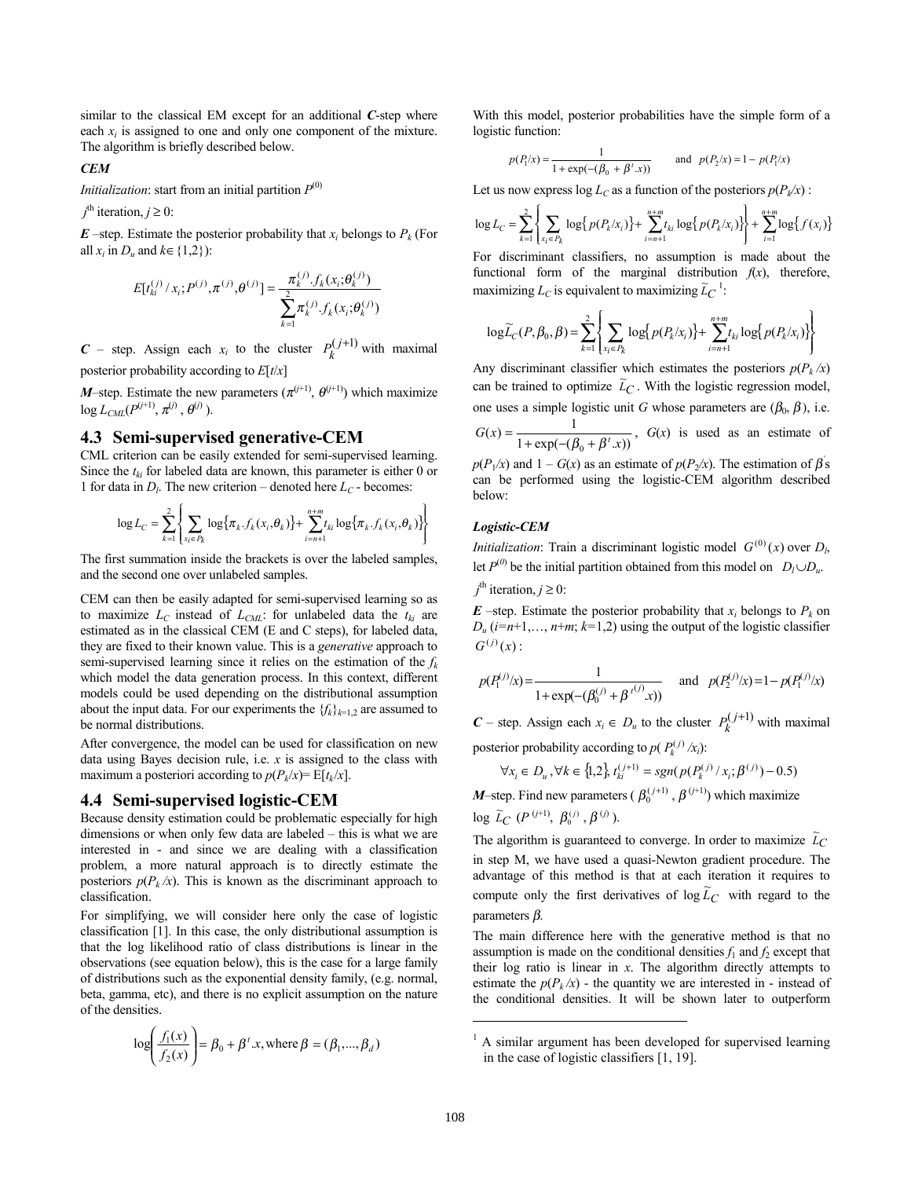similar to the classical EM except for an additional *C*-step where each  $x_i$  is assigned to one and only one component of the mixture. The algorithm is briefly described below.

#### *CEM*

*Initialization*: start from an initial partition  $P^{(0)}$ 

 $j^{\text{th}}$  iteration,  $j \geq 0$ :

 $E$  –step. Estimate the posterior probability that  $x_i$  belongs to  $P_k$  (For all  $x_i$  in  $D_u$  and  $k \in \{1,2\}$ :

$$
E[t_{ki}^{(j)}/x_i; P^{(j)}, \pi^{(j)}, \theta^{(j)}] = \frac{\pi_k^{(j)} \cdot f_k(x_i; \theta_k^{(j)})}{\sum_{k=1}^2 \pi_k^{(j)} \cdot f_k(x_i; \theta_k^{(j)})}
$$

 $C$  – step. Assign each  $x_i$  to the cluster  $P_k^{(j+1)}$  with maximal posterior probability according to *E*[*t*/*x*]

*M*–step. Estimate the new parameters  $(\pi^{(j+1)}, \theta^{(j+1)})$  which maximize  $\log L_{CML}(P^{(j+1)}, \pi^{(j)}, \theta^{(j)})$ .

## **4.3 Semi-supervised generative-CEM**

CML criterion can be easily extended for semi-supervised learning. Since the  $t_{ki}$  for labeled data are known, this parameter is either 0 or 1 for data in  $D_l$ . The new criterion – denoted here  $L_c$  - becomes:

$$
\log L_C = \sum_{k=1}^{2} \left\{ \sum_{x_i \in P_k} \log \{ \pi_k . f_k(x_i, \theta_k) \} + \sum_{i=n+1}^{n+m} t_{ki} \log \{ \pi_k . f_k(x_i, \theta_k) \} \right\}
$$

The first summation inside the brackets is over the labeled samples, and the second one over unlabeled samples.

CEM can then be easily adapted for semi-supervised learning so as to maximize  $L_C$  instead of  $L_{CML}$ : for unlabeled data the  $t_{ki}$  are estimated as in the classical CEM (E and C steps), for labeled data, they are fixed to their known value. This is a *generative* approach to semi-supervised learning since it relies on the estimation of the  $f_k$ which model the data generation process. In this context, different models could be used depending on the distributional assumption about the input data. For our experiments the  ${f_k}_{k=1,2}$  are assumed to be normal distributions.

After convergence, the model can be used for classification on new data using Bayes decision rule, i.e. *x* is assigned to the class with maximum a posteriori according to  $p(P_k/x) = E[t_k/x]$ .

#### **4.4 Semi-supervised logistic-CEM**

Because density estimation could be problematic especially for high dimensions or when only few data are labeled – this is what we are interested in - and since we are dealing with a classification problem, a more natural approach is to directly estimate the posteriors  $p(P_k/x)$ . This is known as the discriminant approach to classification.

For simplifying, we will consider here only the case of logistic classification [1]. In this case, the only distributional assumption is that the log likelihood ratio of class distributions is linear in the observations (see equation below), this is the case for a large family of distributions such as the exponential density family, (e.g. normal, beta, gamma, etc), and there is no explicit assumption on the nature of the densities.

$$
\log\left(\frac{f_1(x)}{f_2(x)}\right) = \beta_0 + \beta' . x, \text{ where } \beta = (\beta_1, ..., \beta_d)
$$

With this model, posterior probabilities have the simple form of a logistic function:

$$
p(P_1/x) = \frac{1}{1 + \exp(-(B_0 + \beta' \cdot x))}
$$
 and  $p(P_2/x) = 1 - p(P_1/x)$ 

Let us now express  $\log L_C$  as a function of the posteriors  $p(P_k|x)$ :

$$
\log L_C = \sum_{k=1}^{2} \left\{ \sum_{x_i \in P_k} \log \left\{ p(P_k | x_i) \right\} + \sum_{i=n+1}^{n+m} t_{ki} \log \left\{ p(P_k | x_i) \right\} \right\} + \sum_{i=1}^{n+m} \log \left\{ f(x_i) \right\}
$$

For discriminant classifiers, no assumption is made about the functional form of the marginal distribution  $f(x)$ , therefore, maximizing  $L_C$  is equivalent to maximizing  $\tilde{L}_C^{-1}$ :

$$
\log \widetilde{L}_C(P, \beta_0, \beta) = \sum_{k=1}^2 \left\{ \sum_{x_i \in P_k} \log \left\{ p(P_k | x_i) \right\} + \sum_{i=n+1}^{n+m} t_{ki} \log \left\{ p(P_k | x_i) \right\} \right\}
$$

Any discriminant classifier which estimates the posteriors  $p(P_k/x)$ can be trained to optimize  $\tilde{L}_C$ . With the logistic regression model, one uses a simple logistic unit *G* whose parameters are  $(\beta_0, \beta)$ , i.e.  $G(x) = \frac{1}{1 + \exp(-(\beta_0 + \beta' . x))}$ ,  $G(x)$  is used as an estimate of

 $p(P_1/x)$  and  $1 - G(x)$  as an estimate of  $p(P_2/x)$ . The estimation of  $\beta$ 's can be performed using the logistic-CEM algorithm described below:

#### *Logistic-CEM*

*Initialization*: Train a discriminant logistic model  $G^{(0)}(x)$  over  $D<sub>l</sub>$ , let  $P^{(0)}$  be the initial partition obtained from this model on  $D_l \cup D_u$ .

 $j^{\text{th}}$  iteration,  $j \geq 0$ :

 $\boldsymbol{E}$  –step. Estimate the posterior probability that  $x_i$  belongs to  $P_k$  on  $D_u$  ( $i=n+1,..., n+m$ ;  $k=1,2$ ) using the output of the logistic classifier  $G^{(j)}(x)$  :

$$
p(P_1^{(j)} / x) = \frac{1}{1 + \exp(-(\beta_0^{(j)} + {\beta'}^{(j)} x))}
$$
 and  $p(P_2^{(j)} / x) = 1 - p(P_1^{(j)} / x)$ 

*C* – step. Assign each  $x_i \in D_u$  to the cluster  $P_k^{(j+1)}$  with maximal posterior probability according to  $p(P_k^{(j)} / x_i)$ :

$$
\forall x_i \in D_u, \forall k \in \{1, 2\}, t_{ki}^{(j+1)} = sgn(p(P_k^{(j)}/x_i; \beta^{(j)}) - 0.5)
$$

*M*–step. Find new parameters ( $\beta_0^{(j+1)}$ ,  $\beta^{(j+1)}$ ) which maximize  $\log \, \widetilde{L}_C \,$  (*P*<sup>(*j*+1)</sup>,  $\beta_0^{(j)}$ ,  $\beta$ <sup>(*j*)</sup>).

The algorithm is guaranteed to converge. In order to maximize  $\tilde{L}_C$ in step M, we have used a quasi-Newton gradient procedure. The advantage of this method is that at each iteration it requires to compute only the first derivatives of  $\log \tilde{L}_C$  with regard to the parameters β.

The main difference here with the generative method is that no assumption is made on the conditional densities  $f_1$  and  $f_2$  except that their log ratio is linear in *x*. The algorithm directly attempts to estimate the  $p(P_k/x)$  - the quantity we are interested in - instead of the conditional densities. It will be shown later to outperform

1

<sup>&</sup>lt;sup>1</sup> A similar argument has been developed for supervised learning in the case of logistic classifiers [1, 19].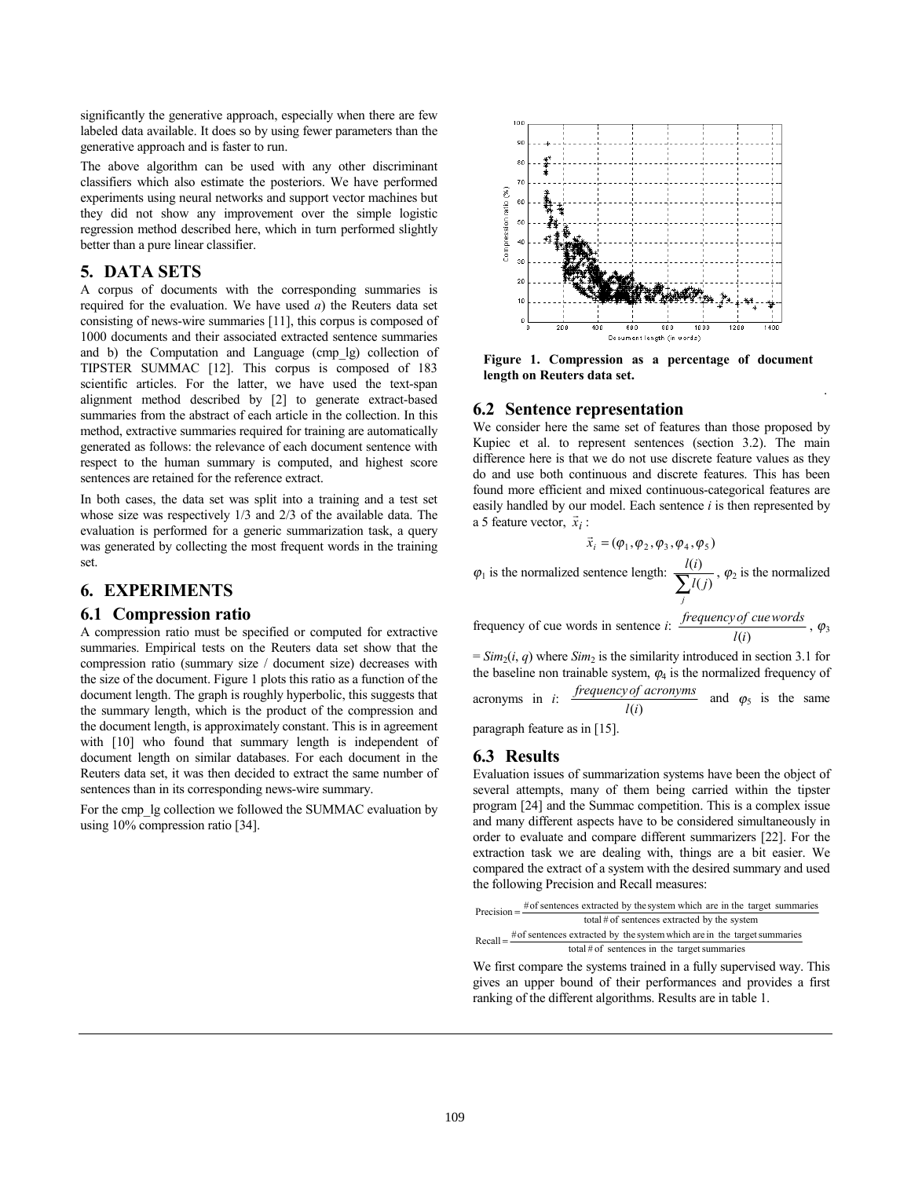significantly the generative approach, especially when there are few labeled data available. It does so by using fewer parameters than the generative approach and is faster to run.

The above algorithm can be used with any other discriminant classifiers which also estimate the posteriors. We have performed experiments using neural networks and support vector machines but they did not show any improvement over the simple logistic regression method described here, which in turn performed slightly better than a pure linear classifier.

# **5. DATA SETS**

A corpus of documents with the corresponding summaries is required for the evaluation. We have used *a*) the Reuters data set consisting of news-wire summaries [11], this corpus is composed of 1000 documents and their associated extracted sentence summaries and b) the Computation and Language (cmp\_lg) collection of TIPSTER SUMMAC [12]. This corpus is composed of 183 scientific articles. For the latter, we have used the text-span alignment method described by [2] to generate extract-based summaries from the abstract of each article in the collection. In this method, extractive summaries required for training are automatically generated as follows: the relevance of each document sentence with respect to the human summary is computed, and highest score sentences are retained for the reference extract.

In both cases, the data set was split into a training and a test set whose size was respectively 1/3 and 2/3 of the available data. The evaluation is performed for a generic summarization task, a query was generated by collecting the most frequent words in the training set.

# **6. EXPERIMENTS**

## **6.1 Compression ratio**

A compression ratio must be specified or computed for extractive summaries. Empirical tests on the Reuters data set show that the compression ratio (summary size / document size) decreases with the size of the document. Figure 1 plots this ratio as a function of the document length. The graph is roughly hyperbolic, this suggests that the summary length, which is the product of the compression and the document length, is approximately constant. This is in agreement with [10] who found that summary length is independent of document length on similar databases. For each document in the Reuters data set, it was then decided to extract the same number of sentences than in its corresponding news-wire summary.

For the cmp\_lg collection we followed the SUMMAC evaluation by using 10% compression ratio [34].



**Figure 1. Compression as a percentage of document length on Reuters data set.** 

.

## **6.2 Sentence representation**

We consider here the same set of features than those proposed by Kupiec et al. to represent sentences (section 3.2). The main difference here is that we do not use discrete feature values as they do and use both continuous and discrete features. This has been found more efficient and mixed continuous-categorical features are easily handled by our model. Each sentence *i* is then represented by a 5 feature vector,  $\vec{x}_i$ :

$$
\vec{x}_i = (\varphi_1, \varphi_2, \varphi_3, \varphi_4, \varphi_5)
$$

 $\varphi_1$  is the normalized sentence length:  $\sum_{i}^{i} l(j)$ *j l i*  $\frac{(i)}{l(j)}$ ,  $\varphi_2$  is the normalized

frequency of cue words in sentence *i*:  $\frac{J}{l(i)}$ *frequency of cue words*  $= Sim<sub>2</sub>(i, q)$  where  $Sim<sub>2</sub>$  is the similarity introduced in section 3.1 for the baseline non trainable system,  $\varphi_4$  is the normalized frequency of *frequency of acronyms* and  $\varphi_5$  is the same

acronyms in *i*:  $\frac{j \cdot \text{e}(\text{e} \cdot \text{e} \cdot \text{e} \cdot \text{e} \cdot \text{e} \cdot \text{e} \cdot \text{e} \cdot \text{e} \cdot \text{e} \cdot \text{e} \cdot \text{e} \cdot \text{e} \cdot \text{e} \cdot \text{e} \cdot \text{e} \cdot \text{e} \cdot \text{e} \cdot \text{e} \cdot \text{e} \cdot \text{e} \cdot \text{e} \cdot \text{e} \cdot \text{e} \cdot \text{e} \cdot \text{e} \cdot \text{e} \cdot \text{e} \cdot \text{$ paragraph feature as in [15].

# **6.3 Results**

Evaluation issues of summarization systems have been the object of several attempts, many of them being carried within the tipster program [24] and the Summac competition. This is a complex issue and many different aspects have to be considered simultaneously in order to evaluate and compare different summarizers [22]. For the extraction task we are dealing with, things are a bit easier. We compared the extract of a system with the desired summary and used the following Precision and Recall measures:

| Precision $=\frac{\pi \text{ or semi}}{2}$ | #of sentences extracted by the system which are in the target summaries                    |  |  |  |  |  |
|--------------------------------------------|--------------------------------------------------------------------------------------------|--|--|--|--|--|
|                                            | total# of sentences extracted by the system                                                |  |  |  |  |  |
|                                            | $Recall = \frac{\# of$ sentences extracted by the system which are in the target summaries |  |  |  |  |  |
|                                            | total $#$ of sentences in the target summaries                                             |  |  |  |  |  |
| $- - -$                                    |                                                                                            |  |  |  |  |  |

We first compare the systems trained in a fully supervised way. This gives an upper bound of their performances and provides a first ranking of the different algorithms. Results are in table 1.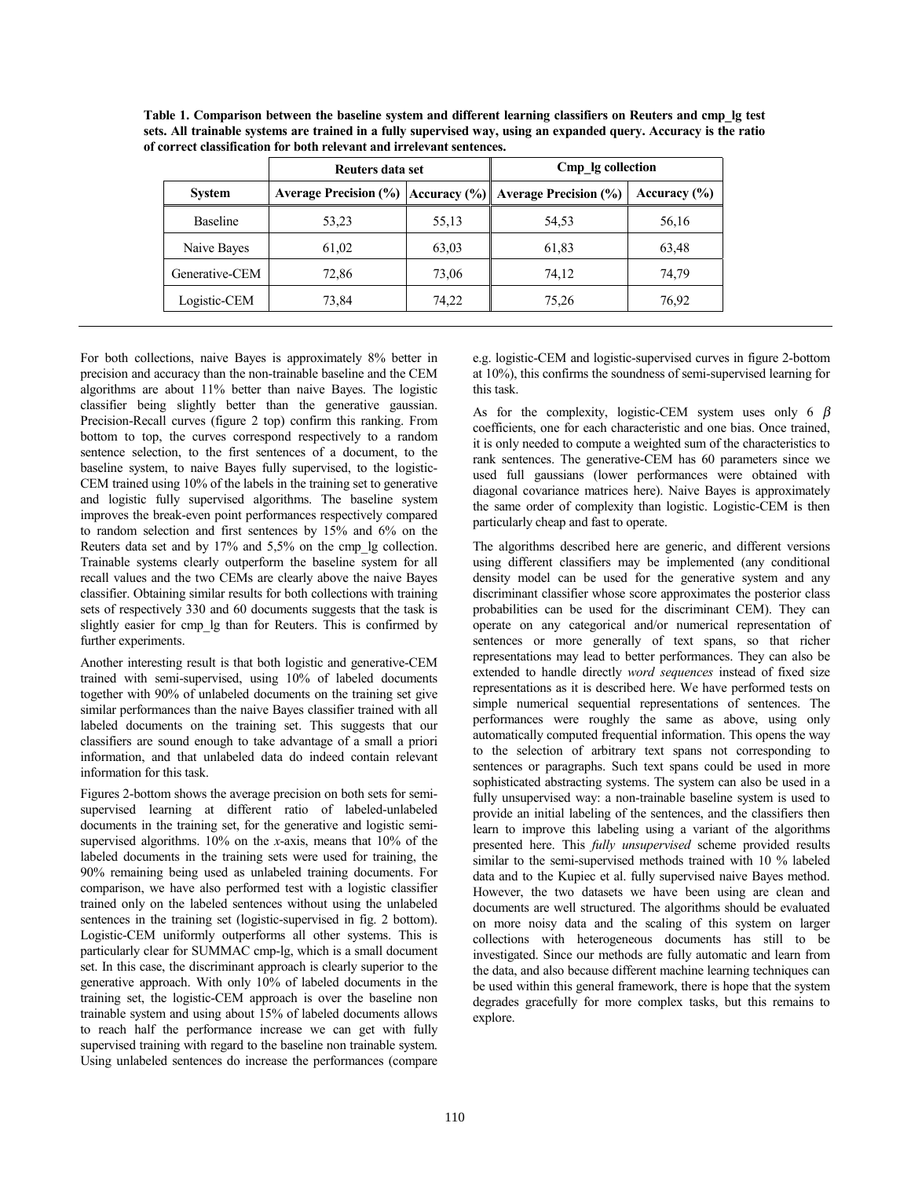|                 | Reuters data set             |                  | Cmp_lg collection            |                  |
|-----------------|------------------------------|------------------|------------------------------|------------------|
| <b>System</b>   | <b>Average Precision (%)</b> | Accuracy $(\% )$ | <b>Average Precision (%)</b> | Accuracy $(\% )$ |
| <b>Baseline</b> | 53,23                        | 55,13            | 54,53                        | 56,16            |
| Naive Bayes     | 61,02                        | 63,03            | 61,83                        | 63,48            |
| Generative-CEM  | 72,86                        | 73,06            | 74,12                        | 74,79            |
| Logistic-CEM    | 73,84                        | 74,22            | 75,26                        | 76,92            |

**Table 1. Comparison between the baseline system and different learning classifiers on Reuters and cmp\_lg test sets. All trainable systems are trained in a fully supervised way, using an expanded query. Accuracy is the ratio of correct classification for both relevant and irrelevant sentences.** 

For both collections, naive Bayes is approximately 8% better in precision and accuracy than the non-trainable baseline and the CEM algorithms are about 11% better than naive Bayes. The logistic classifier being slightly better than the generative gaussian. Precision-Recall curves (figure 2 top) confirm this ranking. From bottom to top, the curves correspond respectively to a random sentence selection, to the first sentences of a document, to the baseline system, to naive Bayes fully supervised, to the logistic-CEM trained using 10% of the labels in the training set to generative and logistic fully supervised algorithms. The baseline system improves the break-even point performances respectively compared to random selection and first sentences by 15% and 6% on the Reuters data set and by 17% and 5,5% on the cmp\_lg collection. Trainable systems clearly outperform the baseline system for all recall values and the two CEMs are clearly above the naive Bayes classifier. Obtaining similar results for both collections with training sets of respectively 330 and 60 documents suggests that the task is slightly easier for cmp\_lg than for Reuters. This is confirmed by further experiments.

Another interesting result is that both logistic and generative-CEM trained with semi-supervised, using 10% of labeled documents together with 90% of unlabeled documents on the training set give similar performances than the naive Bayes classifier trained with all labeled documents on the training set. This suggests that our classifiers are sound enough to take advantage of a small a priori information, and that unlabeled data do indeed contain relevant information for this task.

Figures 2-bottom shows the average precision on both sets for semisupervised learning at different ratio of labeled-unlabeled documents in the training set, for the generative and logistic semisupervised algorithms. 10% on the *x*-axis, means that 10% of the labeled documents in the training sets were used for training, the 90% remaining being used as unlabeled training documents. For comparison, we have also performed test with a logistic classifier trained only on the labeled sentences without using the unlabeled sentences in the training set (logistic-supervised in fig. 2 bottom). Logistic-CEM uniformly outperforms all other systems. This is particularly clear for SUMMAC cmp-lg, which is a small document set. In this case, the discriminant approach is clearly superior to the generative approach. With only 10% of labeled documents in the training set, the logistic-CEM approach is over the baseline non trainable system and using about 15% of labeled documents allows to reach half the performance increase we can get with fully supervised training with regard to the baseline non trainable system. Using unlabeled sentences do increase the performances (compare

e.g. logistic-CEM and logistic-supervised curves in figure 2-bottom at 10%), this confirms the soundness of semi-supervised learning for this task.

As for the complexity, logistic-CEM system uses only 6  $\beta$ coefficients, one for each characteristic and one bias. Once trained, it is only needed to compute a weighted sum of the characteristics to rank sentences. The generative-CEM has 60 parameters since we used full gaussians (lower performances were obtained with diagonal covariance matrices here). Naive Bayes is approximately the same order of complexity than logistic. Logistic-CEM is then particularly cheap and fast to operate.

The algorithms described here are generic, and different versions using different classifiers may be implemented (any conditional density model can be used for the generative system and any discriminant classifier whose score approximates the posterior class probabilities can be used for the discriminant CEM). They can operate on any categorical and/or numerical representation of sentences or more generally of text spans, so that richer representations may lead to better performances. They can also be extended to handle directly *word sequences* instead of fixed size representations as it is described here. We have performed tests on simple numerical sequential representations of sentences. The performances were roughly the same as above, using only automatically computed frequential information. This opens the way to the selection of arbitrary text spans not corresponding to sentences or paragraphs. Such text spans could be used in more sophisticated abstracting systems. The system can also be used in a fully unsupervised way: a non-trainable baseline system is used to provide an initial labeling of the sentences, and the classifiers then learn to improve this labeling using a variant of the algorithms presented here. This *fully unsupervised* scheme provided results similar to the semi-supervised methods trained with 10 % labeled data and to the Kupiec et al. fully supervised naive Bayes method. However, the two datasets we have been using are clean and documents are well structured. The algorithms should be evaluated on more noisy data and the scaling of this system on larger collections with heterogeneous documents has still to be investigated. Since our methods are fully automatic and learn from the data, and also because different machine learning techniques can be used within this general framework, there is hope that the system degrades gracefully for more complex tasks, but this remains to explore.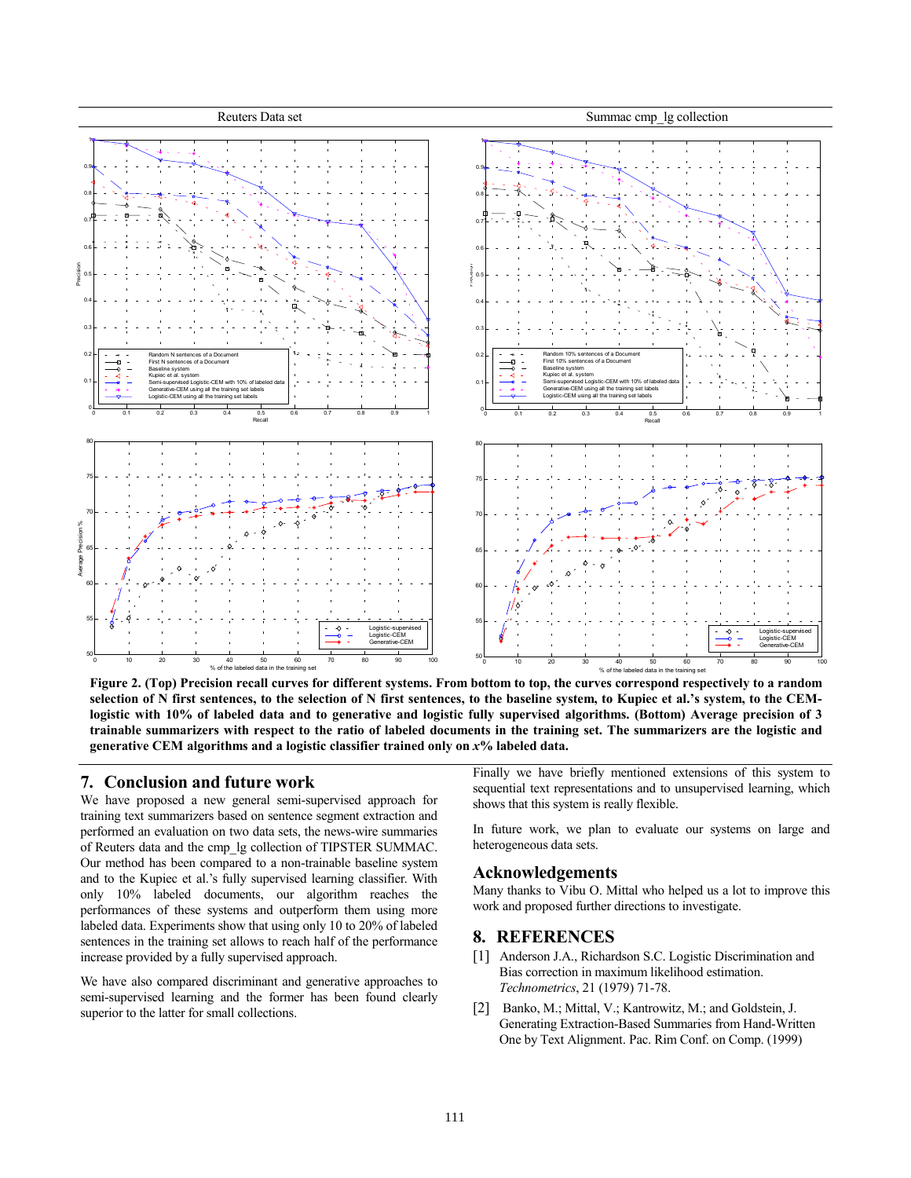

**Figure 2. (Top) Precision recall curves for different systems. From bottom to top, the curves correspond respectively to a random selection of N first sentences, to the selection of N first sentences, to the baseline system, to Kupiec et al.'s system, to the CEMlogistic with 10% of labeled data and to generative and logistic fully supervised algorithms. (Bottom) Average precision of 3 trainable summarizers with respect to the ratio of labeled documents in the training set. The summarizers are the logistic and generative CEM algorithms and a logistic classifier trained only on** *x***% labeled data.** 

## **7. Conclusion and future work**

We have proposed a new general semi-supervised approach for training text summarizers based on sentence segment extraction and performed an evaluation on two data sets, the news-wire summaries of Reuters data and the cmp\_lg collection of TIPSTER SUMMAC. Our method has been compared to a non-trainable baseline system and to the Kupiec et al.'s fully supervised learning classifier. With only 10% labeled documents, our algorithm reaches the performances of these systems and outperform them using more labeled data. Experiments show that using only 10 to 20% of labeled sentences in the training set allows to reach half of the performance increase provided by a fully supervised approach.

We have also compared discriminant and generative approaches to semi-supervised learning and the former has been found clearly superior to the latter for small collections.

Finally we have briefly mentioned extensions of this system to sequential text representations and to unsupervised learning, which shows that this system is really flexible.

In future work, we plan to evaluate our systems on large and heterogeneous data sets.

## **Acknowledgements**

Many thanks to Vibu O. Mittal who helped us a lot to improve this work and proposed further directions to investigate.

## **8. REFERENCES**

- [1] Anderson J.A., Richardson S.C. Logistic Discrimination and Bias correction in maximum likelihood estimation. *Technometrics*, 21 (1979) 71-78.
- [2] Banko, M.; Mittal, V.; Kantrowitz, M.; and Goldstein, J. Generating Extraction-Based Summaries from Hand-Written One by Text Alignment. Pac. Rim Conf. on Comp. (1999)